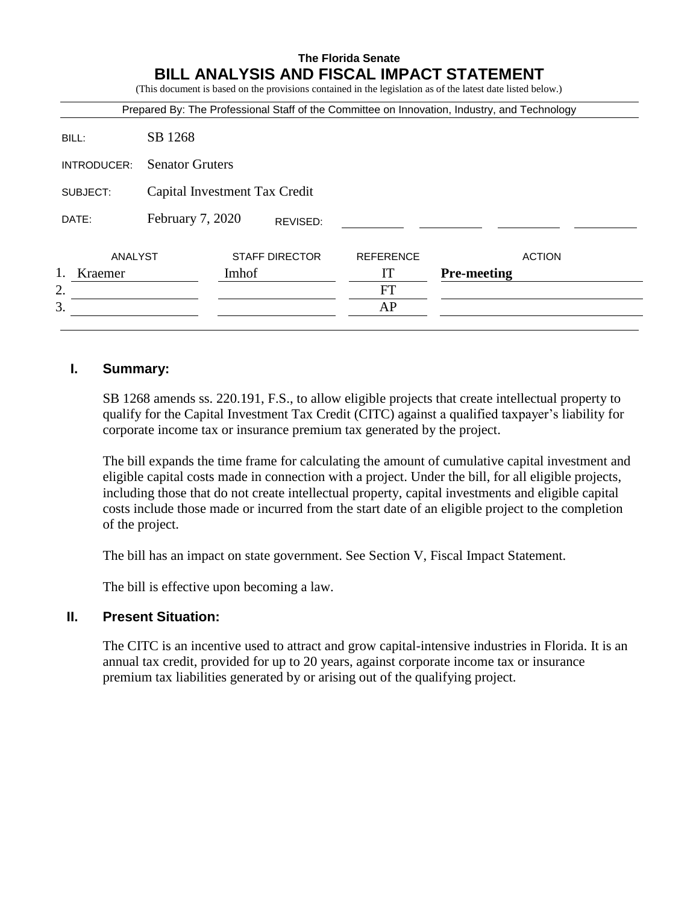# **The Florida Senate BILL ANALYSIS AND FISCAL IMPACT STATEMENT**

(This document is based on the provisions contained in the legislation as of the latest date listed below.)

| Prepared By: The Professional Staff of the Committee on Innovation, Industry, and Technology |                               |       |                       |                  |                    |  |
|----------------------------------------------------------------------------------------------|-------------------------------|-------|-----------------------|------------------|--------------------|--|
| BILL:                                                                                        | SB 1268                       |       |                       |                  |                    |  |
| INTRODUCER:                                                                                  | <b>Senator Gruters</b>        |       |                       |                  |                    |  |
| SUBJECT:                                                                                     | Capital Investment Tax Credit |       |                       |                  |                    |  |
| DATE:                                                                                        | February 7, 2020<br>REVISED:  |       |                       |                  |                    |  |
| ANALYST                                                                                      |                               |       | <b>STAFF DIRECTOR</b> | <b>REFERENCE</b> | <b>ACTION</b>      |  |
| 1.<br>Kraemer                                                                                |                               | Imhof |                       | IT               | <b>Pre-meeting</b> |  |
| 2.                                                                                           |                               |       |                       | <b>FT</b>        |                    |  |
| 3.                                                                                           |                               |       |                       | AP               |                    |  |
|                                                                                              |                               |       |                       |                  |                    |  |

### **I. Summary:**

SB 1268 amends ss. 220.191, F.S., to allow eligible projects that create intellectual property to qualify for the Capital Investment Tax Credit (CITC) against a qualified taxpayer's liability for corporate income tax or insurance premium tax generated by the project.

The bill expands the time frame for calculating the amount of cumulative capital investment and eligible capital costs made in connection with a project. Under the bill, for all eligible projects, including those that do not create intellectual property, capital investments and eligible capital costs include those made or incurred from the start date of an eligible project to the completion of the project.

The bill has an impact on state government. See Section V, Fiscal Impact Statement.

The bill is effective upon becoming a law.

## **II. Present Situation:**

The CITC is an incentive used to attract and grow capital-intensive industries in Florida. It is an annual tax credit, provided for up to 20 years, against corporate income tax or insurance premium tax liabilities generated by or arising out of the qualifying project.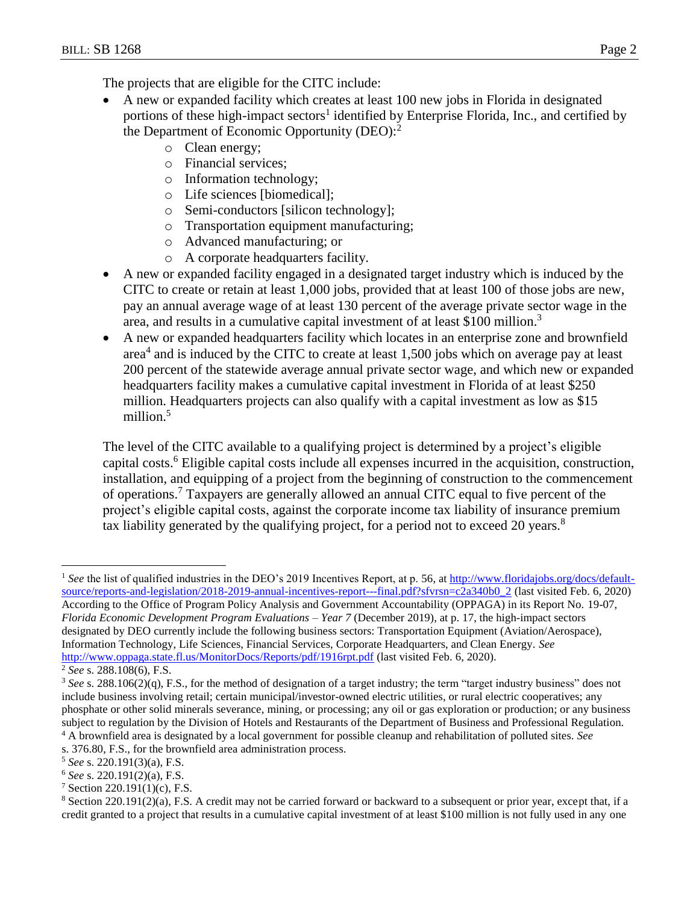The projects that are eligible for the CITC include:

- A new or expanded facility which creates at least 100 new jobs in Florida in designated portions of these high-impact sectors<sup>1</sup> identified by Enterprise Florida, Inc., and certified by the Department of Economic Opportunity (DEO):<sup>2</sup>
	- o Clean energy;
	- o Financial services;
	- o Information technology;
	- o Life sciences [biomedical];
	- o Semi-conductors [silicon technology];
	- o Transportation equipment manufacturing;
	- o Advanced manufacturing; or
	- o A corporate headquarters facility.
- A new or expanded facility engaged in a designated target industry which is induced by the CITC to create or retain at least 1,000 jobs, provided that at least 100 of those jobs are new, pay an annual average wage of at least 130 percent of the average private sector wage in the area, and results in a cumulative capital investment of at least \$100 million.<sup>3</sup>
- A new or expanded headquarters facility which locates in an enterprise zone and brownfield area<sup>4</sup> and is induced by the CITC to create at least 1,500 jobs which on average pay at least 200 percent of the statewide average annual private sector wage, and which new or expanded headquarters facility makes a cumulative capital investment in Florida of at least \$250 million. Headquarters projects can also qualify with a capital investment as low as \$15 million.<sup>5</sup>

The level of the CITC available to a qualifying project is determined by a project's eligible capital costs.<sup>6</sup> Eligible capital costs include all expenses incurred in the acquisition, construction, installation, and equipping of a project from the beginning of construction to the commencement of operations.<sup>7</sup> Taxpayers are generally allowed an annual CITC equal to five percent of the project's eligible capital costs, against the corporate income tax liability of insurance premium tax liability generated by the qualifying project, for a period not to exceed 20 years.<sup>8</sup>

<http://www.oppaga.state.fl.us/MonitorDocs/Reports/pdf/1916rpt.pdf> (last visited Feb. 6, 2020).

<sup>&</sup>lt;sup>1</sup> See the list of qualified industries in the DEO's 2019 Incentives Report, at p. 56, at [http://www.floridajobs.org/docs/default](http://www.floridajobs.org/docs/default-source/reports-and-legislation/2018-2019-annual-incentives-report---final.pdf?sfvrsn=c2a340b0_2)[source/reports-and-legislation/2018-2019-annual-incentives-report---final.pdf?sfvrsn=c2a340b0\\_2](http://www.floridajobs.org/docs/default-source/reports-and-legislation/2018-2019-annual-incentives-report---final.pdf?sfvrsn=c2a340b0_2) (last visited Feb. 6, 2020) According to the Office of Program Policy Analysis and Government Accountability (OPPAGA) in its Report No. 19-07, *Florida Economic Development Program Evaluations – Year 7* (December 2019), at p. 17, the high-impact sectors designated by DEO currently include the following business sectors: Transportation Equipment (Aviation/Aerospace), Information Technology, Life Sciences, Financial Services, Corporate Headquarters, and Clean Energy. *See*

<sup>2</sup> *See* s. 288.108(6), F.S.

<sup>&</sup>lt;sup>3</sup> See s. 288.106(2)(q), F.S., for the method of designation of a target industry; the term "target industry business" does not include business involving retail; certain municipal/investor-owned electric utilities, or rural electric cooperatives; any phosphate or other solid minerals severance, mining, or processing; any oil or gas exploration or production; or any business subject to regulation by the Division of Hotels and Restaurants of the Department of Business and Professional Regulation. <sup>4</sup> A brownfield area is designated by a local government for possible cleanup and rehabilitation of polluted sites. *See*

s. 376.80, F.S., for the brownfield area administration process.

<sup>5</sup> *See* s. 220.191(3)(a), F.S.

<sup>6</sup> *See* s. 220.191(2)(a), F.S.

 $7$  Section 220.191(1)(c), F.S.

<sup>8</sup> Section 220.191(2)(a), F.S. A credit may not be carried forward or backward to a subsequent or prior year, except that, if a credit granted to a project that results in a cumulative capital investment of at least \$100 million is not fully used in any one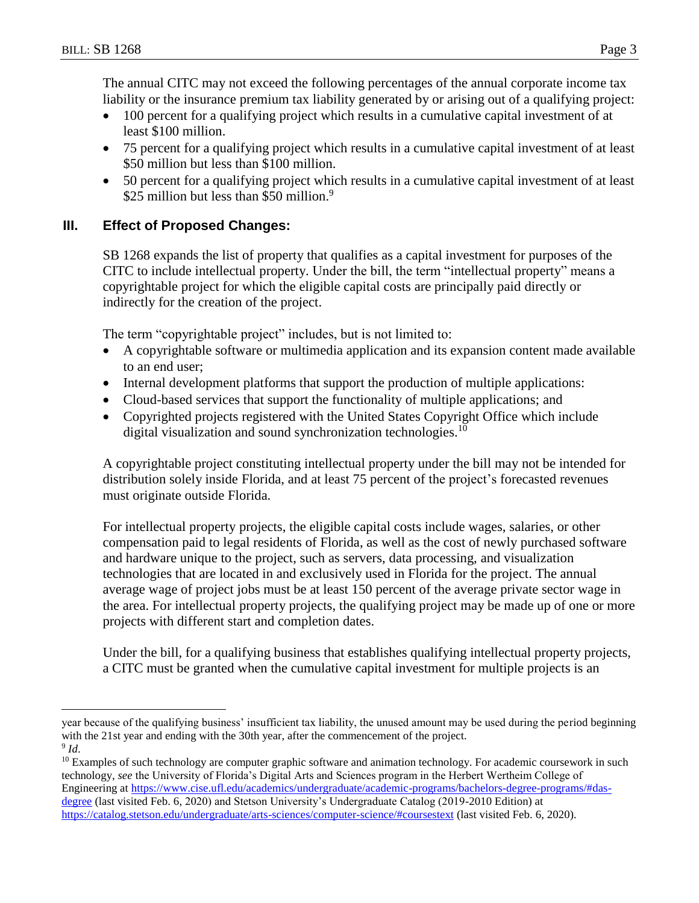$\overline{a}$ 

The annual CITC may not exceed the following percentages of the annual corporate income tax liability or the insurance premium tax liability generated by or arising out of a qualifying project:

- 100 percent for a qualifying project which results in a cumulative capital investment of at least \$100 million.
- 75 percent for a qualifying project which results in a cumulative capital investment of at least \$50 million but less than \$100 million.
- 50 percent for a qualifying project which results in a cumulative capital investment of at least \$25 million but less than \$50 million.<sup>9</sup>

# **III. Effect of Proposed Changes:**

SB 1268 expands the list of property that qualifies as a capital investment for purposes of the CITC to include intellectual property. Under the bill, the term "intellectual property" means a copyrightable project for which the eligible capital costs are principally paid directly or indirectly for the creation of the project.

The term "copyrightable project" includes, but is not limited to:

- A copyrightable software or multimedia application and its expansion content made available to an end user;
- Internal development platforms that support the production of multiple applications:
- Cloud-based services that support the functionality of multiple applications; and
- Copyrighted projects registered with the United States Copyright Office which include digital visualization and sound synchronization technologies.<sup>10</sup>

A copyrightable project constituting intellectual property under the bill may not be intended for distribution solely inside Florida, and at least 75 percent of the project's forecasted revenues must originate outside Florida.

For intellectual property projects, the eligible capital costs include wages, salaries, or other compensation paid to legal residents of Florida, as well as the cost of newly purchased software and hardware unique to the project, such as servers, data processing, and visualization technologies that are located in and exclusively used in Florida for the project. The annual average wage of project jobs must be at least 150 percent of the average private sector wage in the area. For intellectual property projects, the qualifying project may be made up of one or more projects with different start and completion dates.

Under the bill, for a qualifying business that establishes qualifying intellectual property projects, a CITC must be granted when the cumulative capital investment for multiple projects is an

year because of the qualifying business' insufficient tax liability, the unused amount may be used during the period beginning with the 21st year and ending with the 30th year, after the commencement of the project. 9 *Id*.

 $10$  Examples of such technology are computer graphic software and animation technology. For academic coursework in such technology, *see* the University of Florida's Digital Arts and Sciences program in the Herbert Wertheim College of Engineering at [https://www.cise.ufl.edu/academics/undergraduate/academic-programs/bachelors-degree-programs/#das](https://www.cise.ufl.edu/academics/undergraduate/academic-programs/bachelors-degree-programs/#das-degree)[degree](https://www.cise.ufl.edu/academics/undergraduate/academic-programs/bachelors-degree-programs/#das-degree) (last visited Feb. 6, 2020) and Stetson University's Undergraduate Catalog (2019-2010 Edition) at <https://catalog.stetson.edu/undergraduate/arts-sciences/computer-science/#coursestext> (last visited Feb. 6, 2020).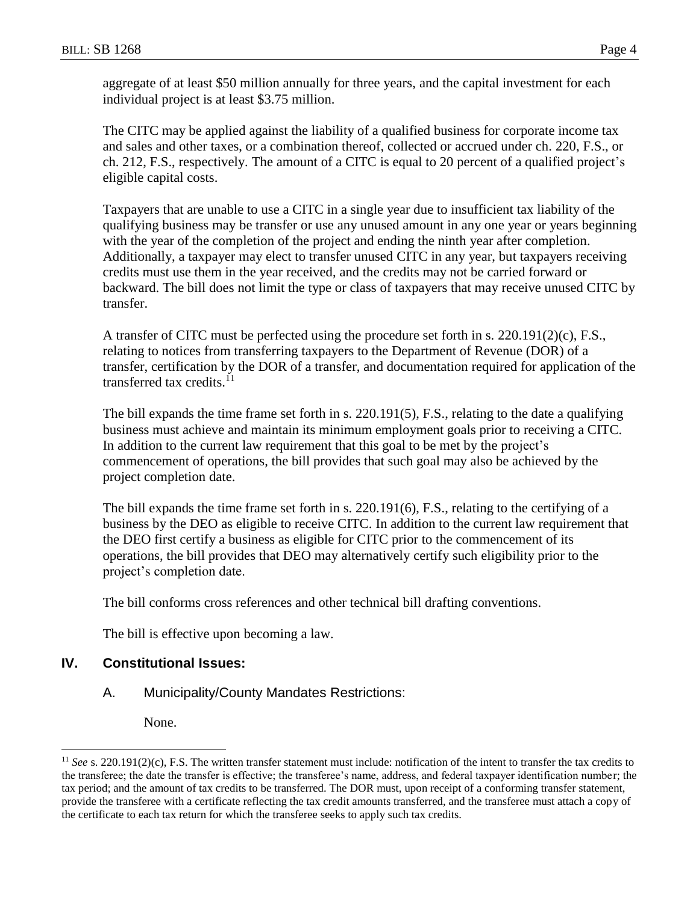aggregate of at least \$50 million annually for three years, and the capital investment for each individual project is at least \$3.75 million.

The CITC may be applied against the liability of a qualified business for corporate income tax and sales and other taxes, or a combination thereof, collected or accrued under ch. 220, F.S., or ch. 212, F.S., respectively. The amount of a CITC is equal to 20 percent of a qualified project's eligible capital costs.

Taxpayers that are unable to use a CITC in a single year due to insufficient tax liability of the qualifying business may be transfer or use any unused amount in any one year or years beginning with the year of the completion of the project and ending the ninth year after completion. Additionally, a taxpayer may elect to transfer unused CITC in any year, but taxpayers receiving credits must use them in the year received, and the credits may not be carried forward or backward. The bill does not limit the type or class of taxpayers that may receive unused CITC by transfer.

A transfer of CITC must be perfected using the procedure set forth in s. 220.191(2)(c), F.S., relating to notices from transferring taxpayers to the Department of Revenue (DOR) of a transfer, certification by the DOR of a transfer, and documentation required for application of the transferred tax credits.<sup>11</sup>

The bill expands the time frame set forth in s. 220.191(5), F.S., relating to the date a qualifying business must achieve and maintain its minimum employment goals prior to receiving a CITC. In addition to the current law requirement that this goal to be met by the project's commencement of operations, the bill provides that such goal may also be achieved by the project completion date.

The bill expands the time frame set forth in s. 220.191(6), F.S., relating to the certifying of a business by the DEO as eligible to receive CITC. In addition to the current law requirement that the DEO first certify a business as eligible for CITC prior to the commencement of its operations, the bill provides that DEO may alternatively certify such eligibility prior to the project's completion date.

The bill conforms cross references and other technical bill drafting conventions.

The bill is effective upon becoming a law.

# **IV. Constitutional Issues:**

A. Municipality/County Mandates Restrictions:

None.

<sup>&</sup>lt;sup>11</sup> *See* s. 220.191(2)(c), F.S. The written transfer statement must include: notification of the intent to transfer the tax credits to the transferee; the date the transfer is effective; the transferee's name, address, and federal taxpayer identification number; the tax period; and the amount of tax credits to be transferred. The DOR must, upon receipt of a conforming transfer statement, provide the transferee with a certificate reflecting the tax credit amounts transferred, and the transferee must attach a copy of the certificate to each tax return for which the transferee seeks to apply such tax credits.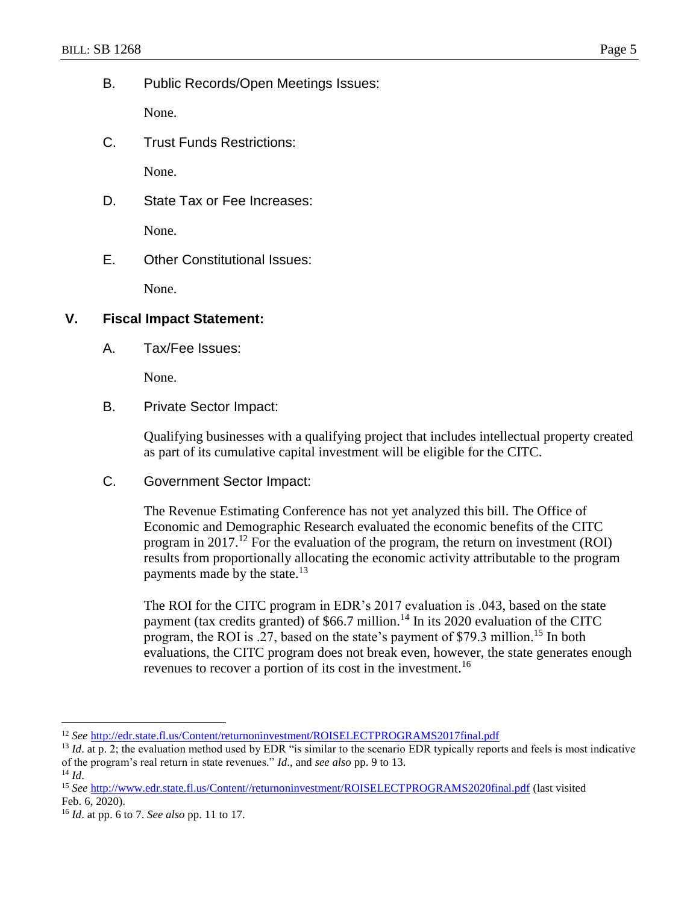B. Public Records/Open Meetings Issues:

None.

C. Trust Funds Restrictions:

None.

D. State Tax or Fee Increases:

None.

E. Other Constitutional Issues:

None.

## **V. Fiscal Impact Statement:**

A. Tax/Fee Issues:

None.

B. Private Sector Impact:

Qualifying businesses with a qualifying project that includes intellectual property created as part of its cumulative capital investment will be eligible for the CITC.

C. Government Sector Impact:

The Revenue Estimating Conference has not yet analyzed this bill. The Office of Economic and Demographic Research evaluated the economic benefits of the CITC program in 2017.<sup>12</sup> For the evaluation of the program, the return on investment (ROI) results from proportionally allocating the economic activity attributable to the program payments made by the state.<sup>13</sup>

The ROI for the CITC program in EDR's 2017 evaluation is .043, based on the state payment (tax credits granted) of  $$66.7$  million.<sup>14</sup> In its 2020 evaluation of the CITC program, the ROI is .27, based on the state's payment of \$79.3 million.<sup>15</sup> In both evaluations, the CITC program does not break even, however, the state generates enough revenues to recover a portion of its cost in the investment.<sup>16</sup>

<sup>12</sup> *See* <http://edr.state.fl.us/Content/returnoninvestment/ROISELECTPROGRAMS2017final.pdf>

<sup>&</sup>lt;sup>13</sup> *Id.* at p. 2; the evaluation method used by EDR "is similar to the scenario EDR typically reports and feels is most indicative of the program's real return in state revenues." *Id*., and *see also* pp. 9 to 13.

 $14$  *Id.* 

<sup>15</sup> *See* [http://www.edr.state.fl.us/Content//returnoninvestment/ROISELECTPROGRAMS2020final.pdf](http://www.edr.state.fl.us/Content/returnoninvestment/ROISELECTPROGRAMS2020final.pdf) (last visited Feb. 6, 2020).

<sup>16</sup> *Id*. at pp. 6 to 7. *See also* pp. 11 to 17.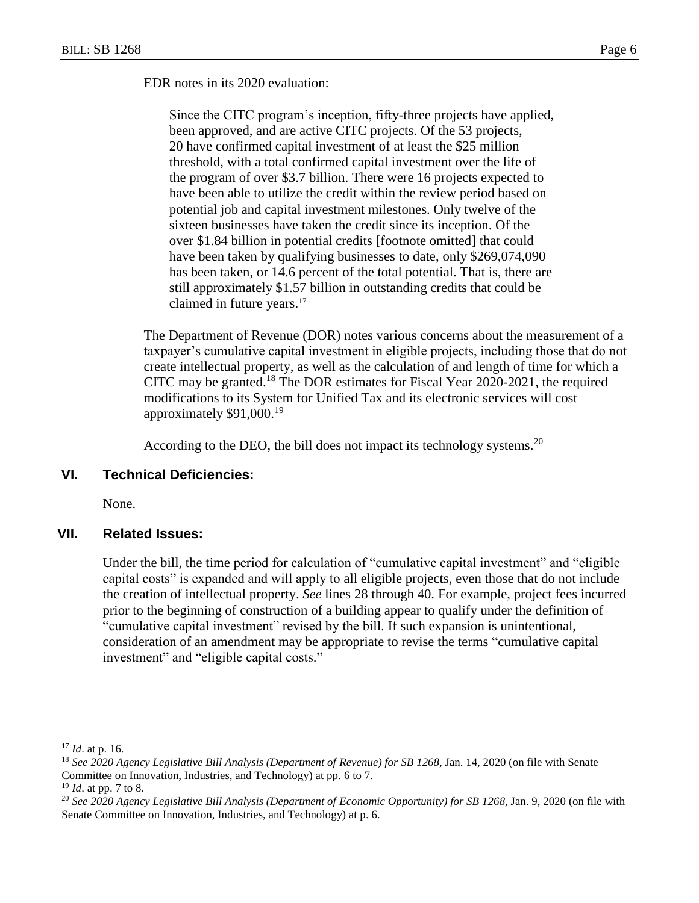EDR notes in its 2020 evaluation:

Since the CITC program's inception, fifty-three projects have applied, been approved, and are active CITC projects. Of the 53 projects, 20 have confirmed capital investment of at least the \$25 million threshold, with a total confirmed capital investment over the life of the program of over \$3.7 billion. There were 16 projects expected to have been able to utilize the credit within the review period based on potential job and capital investment milestones. Only twelve of the sixteen businesses have taken the credit since its inception. Of the over \$1.84 billion in potential credits [footnote omitted] that could have been taken by qualifying businesses to date, only \$269,074,090 has been taken, or 14.6 percent of the total potential. That is, there are still approximately \$1.57 billion in outstanding credits that could be claimed in future years.<sup>17</sup>

The Department of Revenue (DOR) notes various concerns about the measurement of a taxpayer's cumulative capital investment in eligible projects, including those that do not create intellectual property, as well as the calculation of and length of time for which a CITC may be granted.<sup>18</sup> The DOR estimates for Fiscal Year 2020-2021, the required modifications to its System for Unified Tax and its electronic services will cost approximately \$91,000.<sup>19</sup>

According to the DEO, the bill does not impact its technology systems.<sup>20</sup>

### **VI. Technical Deficiencies:**

None.

#### **VII. Related Issues:**

Under the bill, the time period for calculation of "cumulative capital investment" and "eligible capital costs" is expanded and will apply to all eligible projects, even those that do not include the creation of intellectual property. *See* lines 28 through 40. For example, project fees incurred prior to the beginning of construction of a building appear to qualify under the definition of "cumulative capital investment" revised by the bill. If such expansion is unintentional, consideration of an amendment may be appropriate to revise the terms "cumulative capital investment" and "eligible capital costs."

<sup>17</sup> *Id*. at p. 16.

<sup>18</sup> *See 2020 Agency Legislative Bill Analysis (Department of Revenue) for SB 1268*, Jan. 14, 2020 (on file with Senate Committee on Innovation, Industries, and Technology) at pp. 6 to 7.

<sup>19</sup> *Id*. at pp. 7 to 8.

<sup>20</sup> *See 2020 Agency Legislative Bill Analysis (Department of Economic Opportunity) for SB 1268*, Jan. 9, 2020 (on file with Senate Committee on Innovation, Industries, and Technology) at p. 6.